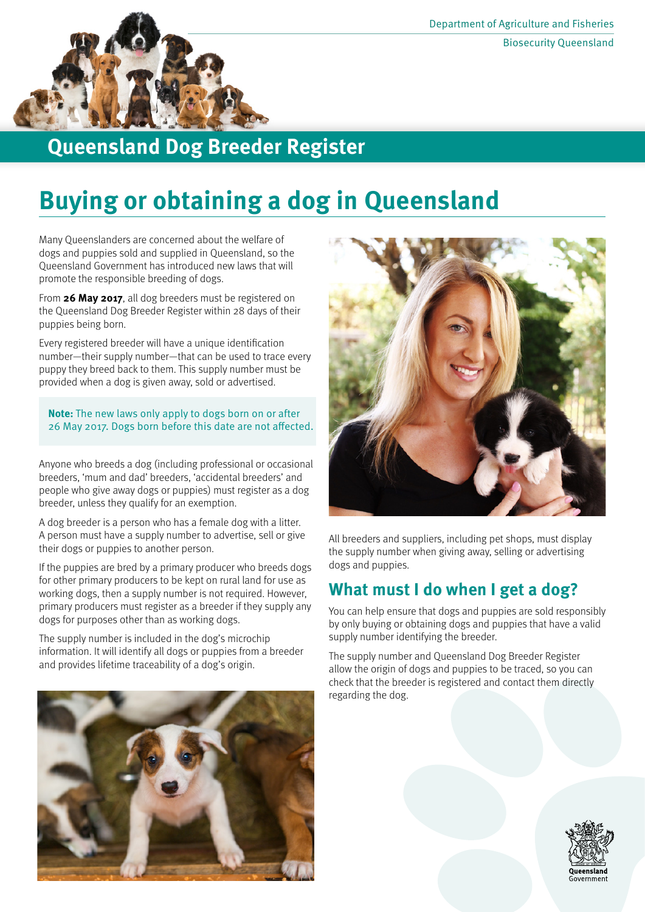

# **Queensland Dog Breeder Register**

# **Buying or obtaining a dog in Queensland**

Many Queenslanders are concerned about the welfare of dogs and puppies sold and supplied in Queensland, so the Queensland Government has introduced new laws that will promote the responsible breeding of dogs.

From **26 May 2017**, all dog breeders must be registered on the Queensland Dog Breeder Register within 28 days of their puppies being born.

Every registered breeder will have a unique identification number—their supply number—that can be used to trace every puppy they breed back to them. This supply number must be provided when a dog is given away, sold or advertised.

**Note:** The new laws only apply to dogs born on or after 26 May 2017. Dogs born before this date are not affected.

Anyone who breeds a dog (including professional or occasional breeders, 'mum and dad' breeders, 'accidental breeders' and people who give away dogs or puppies) must register as a dog breeder, unless they qualify for an exemption.

A dog breeder is a person who has a female dog with a litter. A person must have a supply number to advertise, sell or give their dogs or puppies to another person.

If the puppies are bred by a primary producer who breeds dogs for other primary producers to be kept on rural land for use as working dogs, then a supply number is not required. However, primary producers must register as a breeder if they supply any dogs for purposes other than as working dogs.

The supply number is included in the dog's microchip information. It will identify all dogs or puppies from a breeder and provides lifetime traceability of a dog's origin.





All breeders and suppliers, including pet shops, must display the supply number when giving away, selling or advertising dogs and puppies.

## **What must I do when I get a dog?**

You can help ensure that dogs and puppies are sold responsibly by only buying or obtaining dogs and puppies that have a valid supply number identifying the breeder.

The supply number and Queensland Dog Breeder Register allow the origin of dogs and puppies to be traced, so you can check that the breeder is registered and contact them directly regarding the dog.